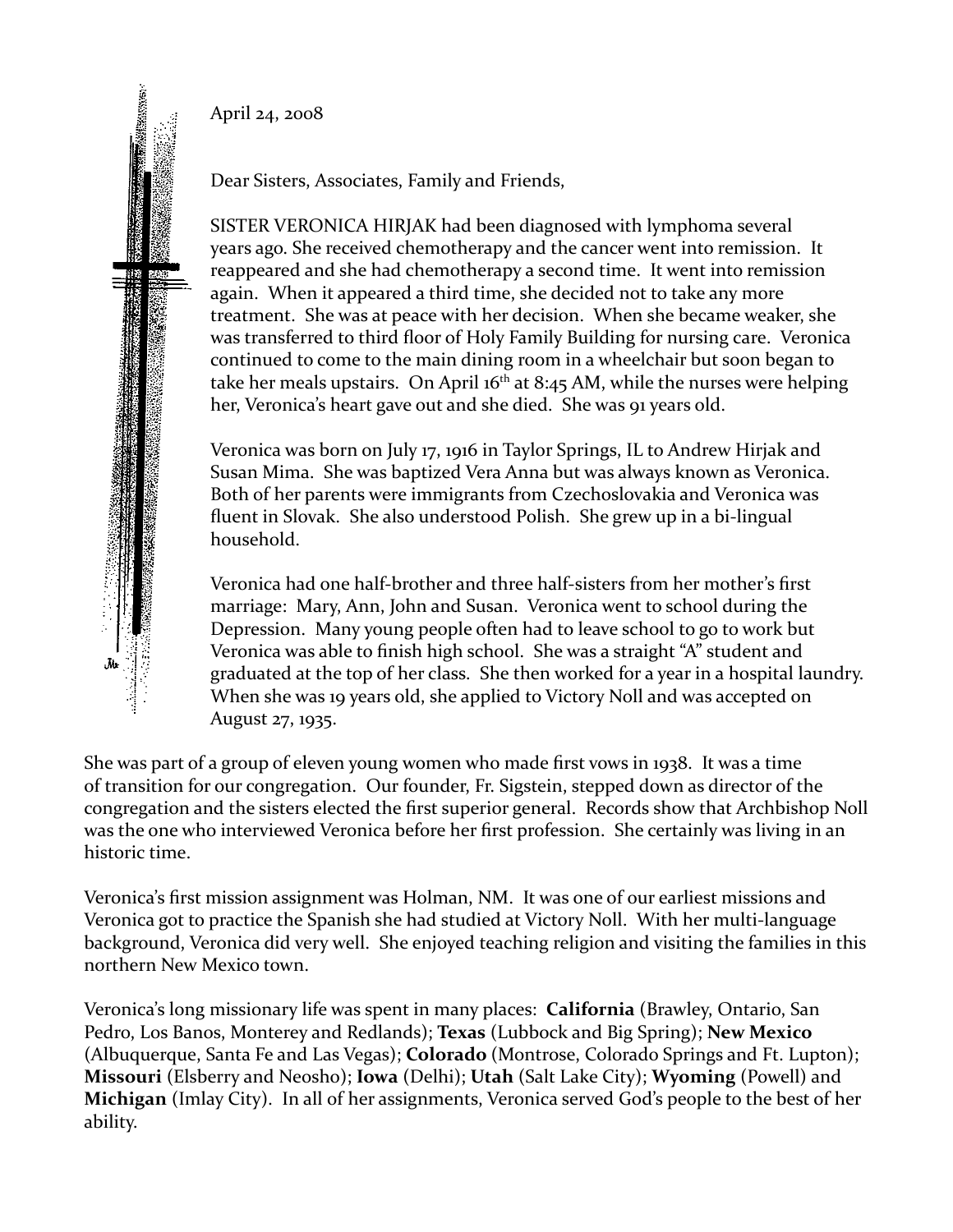April 24, 2008



Dear Sisters, Associates, Family and Friends,

SISTER VERONICA HIRJAK had been diagnosed with lymphoma several years ago. She received chemotherapy and the cancer went into remission. It reappeared and she had chemotherapy a second time. It went into remission again. When it appeared a third time, she decided not to take any more treatment. She was at peace with her decision. When she became weaker, she was transferred to third floor of Holy Family Building for nursing care. Veronica continued to come to the main dining room in a wheelchair but soon began to take her meals upstairs. On April  $16<sup>th</sup>$  at 8:45 AM, while the nurses were helping her, Veronica's heart gave out and she died. She was 91 years old.

Veronica was born on July 17, 1916 in Taylor Springs, IL to Andrew Hirjak and Susan Mima. She was baptized Vera Anna but was always known as Veronica. Both of her parents were immigrants from Czechoslovakia and Veronica was fluent in Slovak. She also understood Polish. She grew up in a bi-lingual household.

Veronica had one half-brother and three half-sisters from her mother's first marriage: Mary, Ann, John and Susan. Veronica went to school during the Depression. Many young people often had to leave school to go to work but Veronica was able to finish high school. She was a straight "A" student and graduated at the top of her class. She then worked for a year in a hospital laundry. When she was 19 years old, she applied to Victory Noll and was accepted on August 27, 1935.

She was part of a group of eleven young women who made first vows in 1938. It was a time of transition for our congregation. Our founder, Fr. Sigstein, stepped down as director of the congregation and the sisters elected the first superior general. Records show that Archbishop Noll was the one who interviewed Veronica before her first profession. She certainly was living in an historic time.

Veronica's first mission assignment was Holman, NM. It was one of our earliest missions and Veronica got to practice the Spanish she had studied at Victory Noll. With her multi-language background, Veronica did very well. She enjoyed teaching religion and visiting the families in this northern New Mexico town.

Veronica's long missionary life was spent in many places: **California** (Brawley, Ontario, San Pedro, Los Banos, Monterey and Redlands); **Texas** (Lubbock and Big Spring); **New Mexico** (Albuquerque, Santa Fe and Las Vegas); **Colorado** (Montrose, Colorado Springs and Ft. Lupton); **Missouri** (Elsberry and Neosho); **Iowa** (Delhi); **Utah** (Salt Lake City); **Wyoming** (Powell) and **Michigan** (Imlay City). In all of her assignments, Veronica served God's people to the best of her ability.